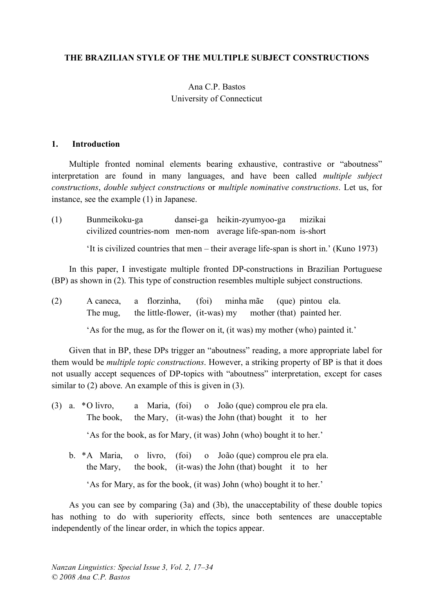## **THE BRAZILIAN STYLE OF THE MULTIPLE SUBJECT CONSTRUCTIONS**

# Ana C.P. Bastos University of Connecticut

#### **1. Introduction**

Multiple fronted nominal elements bearing exhaustive, contrastive or "aboutness" interpretation are found in many languages, and have been called *multiple subject constructions*, *double subject constructions* or *multiple nominative constructions*. Let us, for instance, see the example (1) in Japanese.

(1) Bunmeikoku-ga dansei-ga heikin-zyumyoo-ga mizikai civilized countries-nom men-nom average life-span-nom is-short

'It is civilized countries that men – their average life-span is short in.' (Kuno 1973)

In this paper, I investigate multiple fronted DP-constructions in Brazilian Portuguese (BP) as shown in (2). This type of construction resembles multiple subject constructions.

(2) A caneca, a florzinha, (foi) minha mãe (que) pintou ela. The mug, the little-flower, (it-was) my mother (that) painted her.

'As for the mug, as for the flower on it, (it was) my mother (who) painted it.'

Given that in BP, these DPs trigger an "aboutness" reading, a more appropriate label for them would be *multiple topic constructions*. However, a striking property of BP is that it does not usually accept sequences of DP-topics with "aboutness" interpretation, except for cases similar to (2) above. An example of this is given in (3).

(3) a. \*O livro, a Maria, (foi) o João (que) comprou ele pra ela. The book, the Mary, (it-was) the John (that) bought it to her

'As for the book, as for Mary, (it was) John (who) bought it to her.'

b. \*A Maria, o livro, (foi) o João (que) comprou ele pra ela. the Mary, the book, (it-was) the John (that) bought it to her

'As for Mary, as for the book, (it was) John (who) bought it to her.'

As you can see by comparing (3a) and (3b), the unacceptability of these double topics has nothing to do with superiority effects, since both sentences are unacceptable independently of the linear order, in which the topics appear.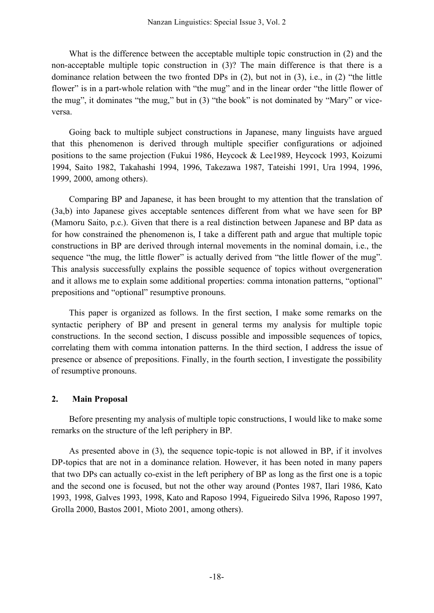What is the difference between the acceptable multiple topic construction in (2) and the non-acceptable multiple topic construction in (3)? The main difference is that there is a dominance relation between the two fronted DPs in (2), but not in (3), i.e., in (2) "the little flower" is in a part-whole relation with "the mug" and in the linear order "the little flower of the mug", it dominates "the mug," but in (3) "the book" is not dominated by "Mary" or viceversa.

Going back to multiple subject constructions in Japanese, many linguists have argued that this phenomenon is derived through multiple specifier configurations or adjoined positions to the same projection (Fukui 1986, Heycock & Lee1989, Heycock 1993, Koizumi 1994, Saito 1982, Takahashi 1994, 1996, Takezawa 1987, Tateishi 1991, Ura 1994, 1996, 1999, 2000, among others).

Comparing BP and Japanese, it has been brought to my attention that the translation of (3a,b) into Japanese gives acceptable sentences different from what we have seen for BP (Mamoru Saito, p.c.). Given that there is a real distinction between Japanese and BP data as for how constrained the phenomenon is, I take a different path and argue that multiple topic constructions in BP are derived through internal movements in the nominal domain, i.e., the sequence "the mug, the little flower" is actually derived from "the little flower of the mug". This analysis successfully explains the possible sequence of topics without overgeneration and it allows me to explain some additional properties: comma intonation patterns, "optional" prepositions and "optional" resumptive pronouns.

This paper is organized as follows. In the first section, I make some remarks on the syntactic periphery of BP and present in general terms my analysis for multiple topic constructions. In the second section, I discuss possible and impossible sequences of topics, correlating them with comma intonation patterns. In the third section, I address the issue of presence or absence of prepositions. Finally, in the fourth section, I investigate the possibility of resumptive pronouns.

## **2. Main Proposal**

Before presenting my analysis of multiple topic constructions, I would like to make some remarks on the structure of the left periphery in BP.

As presented above in (3), the sequence topic-topic is not allowed in BP, if it involves DP-topics that are not in a dominance relation. However, it has been noted in many papers that two DPs can actually co-exist in the left periphery of BP as long as the first one is a topic and the second one is focused, but not the other way around (Pontes 1987, Ilari 1986, Kato 1993, 1998, Galves 1993, 1998, Kato and Raposo 1994, Figueiredo Silva 1996, Raposo 1997, Grolla 2000, Bastos 2001, Mioto 2001, among others).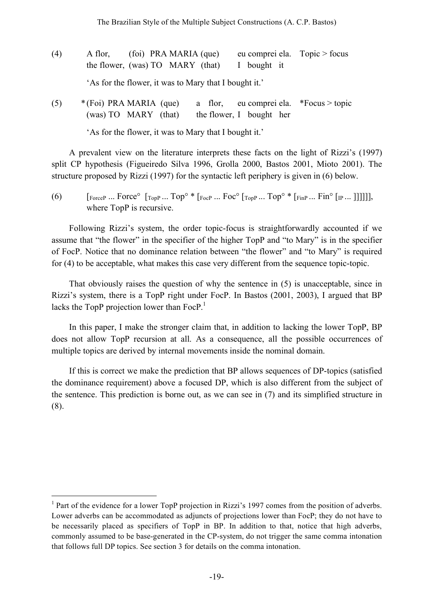- (4) A flor, (foi) PRA MARIA (que) eu comprei ela. Topic > focus the flower, (was) TO MARY (that) I bought it 'As for the flower, it was to Mary that I bought it.'
- (5) \* (Foi) PRA MARIA (que) a flor, eu comprei ela. \*Focus > topic (was) TO MARY (that) the flower, I bought her

'As for the flower, it was to Mary that I bought it.'

A prevalent view on the literature interprets these facts on the light of Rizzi's (1997) split CP hypothesis (Figueiredo Silva 1996, Grolla 2000, Bastos 2001, Mioto 2001). The structure proposed by Rizzi (1997) for the syntactic left periphery is given in (6) below.

(6)  $\left[\begin{array}{cc} \text{ForceP} & \text{Thereo} \end{array}\right]$   $\left[\begin{array}{cc} \text{ToD}^{\circ} & \text{Thereo} \end{array}\right]$   $\left[\begin{array}{cc} \text{ToD}^{\circ} & \text{Thereo} \end{array}\right]$   $\left[\begin{array}{cc} \text{ToD}^{\circ} & \text{Thereo} \end{array}\right]$   $\left[\begin{array}{cc} \text{ToD}^{\circ} & \text{Thereo} \end{array}\right]$ where TopP is recursive.

Following Rizzi's system, the order topic-focus is straightforwardly accounted if we assume that "the flower" in the specifier of the higher TopP and "to Mary" is in the specifier of FocP. Notice that no dominance relation between "the flower" and "to Mary" is required for (4) to be acceptable, what makes this case very different from the sequence topic-topic.

That obviously raises the question of why the sentence in (5) is unacceptable, since in Rizzi's system, there is a TopP right under FocP. In Bastos (2001, 2003), I argued that BP lacks the TopP projection lower than FocP.<sup>1</sup>

In this paper, I make the stronger claim that, in addition to lacking the lower TopP, BP does not allow TopP recursion at all. As a consequence, all the possible occurrences of multiple topics are derived by internal movements inside the nominal domain.

If this is correct we make the prediction that BP allows sequences of DP-topics (satisfied the dominance requirement) above a focused DP, which is also different from the subject of the sentence. This prediction is borne out, as we can see in (7) and its simplified structure in (8).

<sup>&</sup>lt;sup>1</sup> Part of the evidence for a lower TopP projection in Rizzi's 1997 comes from the position of adverbs. Lower adverbs can be accommodated as adjuncts of projections lower than FocP; they do not have to be necessarily placed as specifiers of TopP in BP. In addition to that, notice that high adverbs, commonly assumed to be base-generated in the CP-system, do not trigger the same comma intonation that follows full DP topics. See section 3 for details on the comma intonation.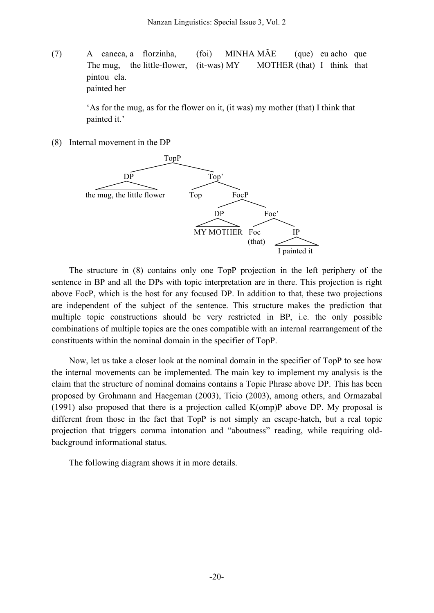(7) A caneca, a florzinha, (foi) MINHA MÃE (que) eu acho que The mug, the little-flower, (it-was) MY MOTHER (that) I think that pintou ela. painted her

> 'As for the mug, as for the flower on it, (it was) my mother (that) I think that painted it.'

(8) Internal movement in the DP



The structure in (8) contains only one TopP projection in the left periphery of the sentence in BP and all the DPs with topic interpretation are in there. This projection is right above FocP, which is the host for any focused DP. In addition to that, these two projections are independent of the subject of the sentence. This structure makes the prediction that multiple topic constructions should be very restricted in BP, i.e. the only possible combinations of multiple topics are the ones compatible with an internal rearrangement of the constituents within the nominal domain in the specifier of TopP.

Now, let us take a closer look at the nominal domain in the specifier of TopP to see how the internal movements can be implemented. The main key to implement my analysis is the claim that the structure of nominal domains contains a Topic Phrase above DP. This has been proposed by Grohmann and Haegeman (2003), Ticio (2003), among others, and Ormazabal (1991) also proposed that there is a projection called K(omp)P above DP. My proposal is different from those in the fact that TopP is not simply an escape-hatch, but a real topic projection that triggers comma intonation and "aboutness" reading, while requiring oldbackground informational status.

The following diagram shows it in more details.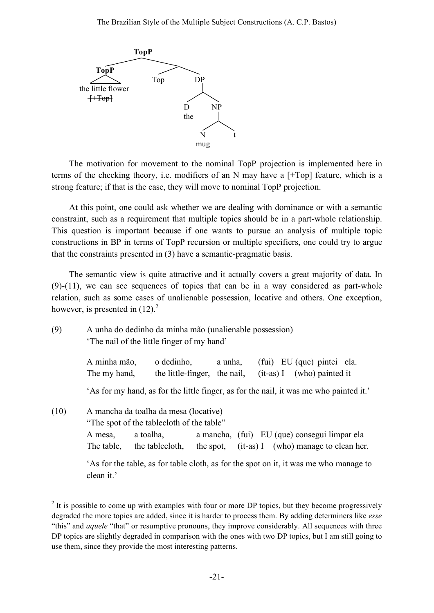

The motivation for movement to the nominal TopP projection is implemented here in terms of the checking theory, i.e. modifiers of an N may have a [+Top] feature, which is a strong feature; if that is the case, they will move to nominal TopP projection.

At this point, one could ask whether we are dealing with dominance or with a semantic constraint, such as a requirement that multiple topics should be in a part-whole relationship. This question is important because if one wants to pursue an analysis of multiple topic constructions in BP in terms of TopP recursion or multiple specifiers, one could try to argue that the constraints presented in (3) have a semantic-pragmatic basis.

The semantic view is quite attractive and it actually covers a great majority of data. In (9)-(11), we can see sequences of topics that can be in a way considered as part-whole relation, such as some cases of unalienable possession, locative and others. One exception, however, is presented in  $(12)^2$ .

| (9)  | A unha do dedinho da minha mão (unalienable possession)<br>The nail of the little finger of my hand'                                                       |            |                                         |                                                            |  |
|------|------------------------------------------------------------------------------------------------------------------------------------------------------------|------------|-----------------------------------------|------------------------------------------------------------|--|
|      | A minha mão,<br>The my hand,                                                                                                                               | o dedinho, | a unha,<br>the little-finger, the nail, | (fui) EU (que) pintei ela.<br>$(it-as) I$ (who) painted it |  |
|      | 'As for my hand, as for the little finger, as for the nail, it was me who painted it.'                                                                     |            |                                         |                                                            |  |
| (10) | A mancha da toalha da mesa (locative)<br>"The spot of the tablectore of the table"<br>a mancha, (fui) EU (que) consegui limpar ela<br>a toalha,<br>A mesa, |            |                                         |                                                            |  |
|      | The table, the tablecloth,                                                                                                                                 |            |                                         | the spot, (it-as) I (who) manage to clean her.             |  |
|      | 'As for the table, as for table cloth, as for the spot on it, it was me who manage to<br>clean it.'                                                        |            |                                         |                                                            |  |

 $2$  It is possible to come up with examples with four or more DP topics, but they become progressively degraded the more topics are added, since it is harder to process them. By adding determiners like *esse* "this" and *aquele* "that" or resumptive pronouns, they improve considerably. All sequences with three DP topics are slightly degraded in comparison with the ones with two DP topics, but I am still going to use them, since they provide the most interesting patterns.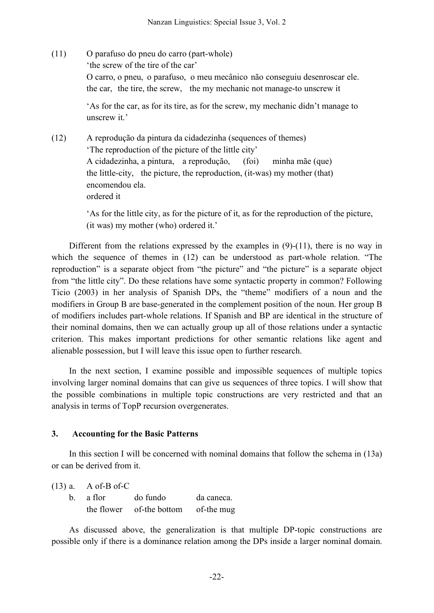(11) O parafuso do pneu do carro (part-whole) 'the screw of the tire of the car' O carro, o pneu, o parafuso, o meu mecânico não conseguiu desenroscar ele. the car, the tire, the screw, the my mechanic not manage-to unscrew it

> 'As for the car, as for its tire, as for the screw, my mechanic didn't manage to unscrew it.'

(12) A reprodução da pintura da cidadezinha (sequences of themes) 'The reproduction of the picture of the little city' A cidadezinha, a pintura, a reprodução, (foi) minha mãe (que) the little-city, the picture, the reproduction, (it-was) my mother (that) encomendou ela. ordered it

> 'As for the little city, as for the picture of it, as for the reproduction of the picture, (it was) my mother (who) ordered it.'

Different from the relations expressed by the examples in (9)-(11), there is no way in which the sequence of themes in  $(12)$  can be understood as part-whole relation. "The reproduction" is a separate object from "the picture" and "the picture" is a separate object from "the little city". Do these relations have some syntactic property in common? Following Ticio (2003) in her analysis of Spanish DPs, the "theme" modifiers of a noun and the modifiers in Group B are base-generated in the complement position of the noun. Her group B of modifiers includes part-whole relations. If Spanish and BP are identical in the structure of their nominal domains, then we can actually group up all of those relations under a syntactic criterion. This makes important predictions for other semantic relations like agent and alienable possession, but I will leave this issue open to further research.

In the next section, I examine possible and impossible sequences of multiple topics involving larger nominal domains that can give us sequences of three topics. I will show that the possible combinations in multiple topic constructions are very restricted and that an analysis in terms of TopP recursion overgenerates.

### **3. Accounting for the Basic Patterns**

In this section I will be concerned with nominal domains that follow the schema in (13a) or can be derived from it.

(13) a. A of-B of-C b. a flor do fundo da caneca. the flower of-the bottom of-the mug

As discussed above, the generalization is that multiple DP-topic constructions are possible only if there is a dominance relation among the DPs inside a larger nominal domain.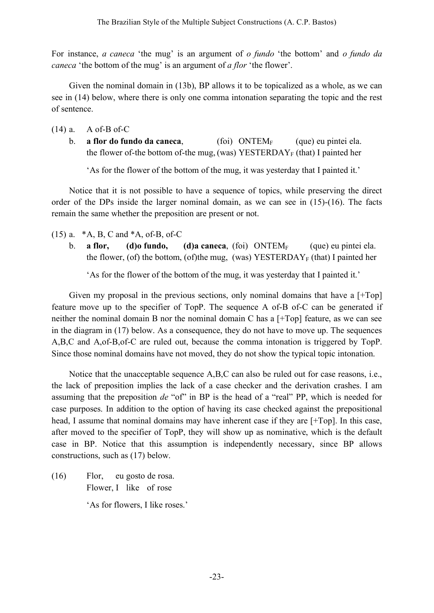For instance, *a caneca* 'the mug' is an argument of *o fundo* 'the bottom' and *o fundo da caneca* 'the bottom of the mug' is an argument of *a flor* 'the flower'.

Given the nominal domain in (13b), BP allows it to be topicalized as a whole, as we can see in (14) below, where there is only one comma intonation separating the topic and the rest of sentence.

- (14) a. A of-B of-C
	- b. **a flor do fundo da caneca**, (foi) ONTEM<sub>F</sub> (que) eu pintei ela. the flower of-the bottom of-the mug, (was) YESTERDAY<sub>F</sub> (that) I painted her

'As for the flower of the bottom of the mug, it was yesterday that I painted it.'

Notice that it is not possible to have a sequence of topics, while preserving the direct order of the DPs inside the larger nominal domain, as we can see in (15)-(16). The facts remain the same whether the preposition are present or not.

- (15) a. \*A, B, C and \*A, of-B, of-C
	- b. **a flor, (d)o fundo, <b>(d)a caneca**, (foi) ONTEM<sub>F</sub> (que) eu pintei ela. the flower, (of) the bottom, (of)the mug, (was) YESTERDAY<sub>F</sub> (that) I painted her

'As for the flower of the bottom of the mug, it was yesterday that I painted it.'

Given my proposal in the previous sections, only nominal domains that have a [+Top] feature move up to the specifier of TopP. The sequence A of-B of-C can be generated if neither the nominal domain B nor the nominal domain C has a [+Top] feature, as we can see in the diagram in (17) below. As a consequence, they do not have to move up. The sequences A,B,C and A,of-B,of-C are ruled out, because the comma intonation is triggered by TopP. Since those nominal domains have not moved, they do not show the typical topic intonation.

Notice that the unacceptable sequence A,B,C can also be ruled out for case reasons, i.e., the lack of preposition implies the lack of a case checker and the derivation crashes. I am assuming that the preposition *de* "of" in BP is the head of a "real" PP, which is needed for case purposes. In addition to the option of having its case checked against the prepositional head, I assume that nominal domains may have inherent case if they are [+Top]. In this case, after moved to the specifier of TopP, they will show up as nominative, which is the default case in BP. Notice that this assumption is independently necessary, since BP allows constructions, such as (17) below.

(16) Flor, eu gosto de rosa. Flower, I like of rose 'As for flowers, I like roses.'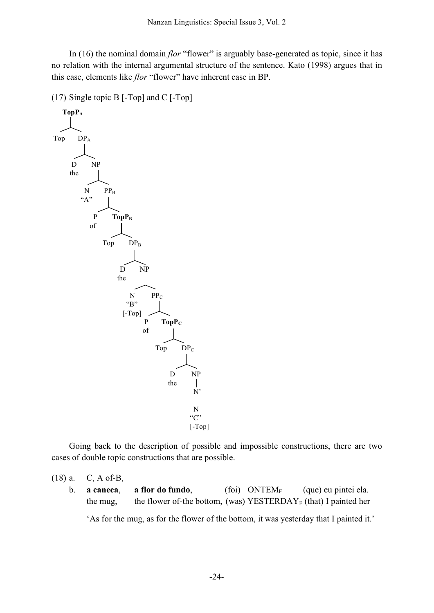In (16) the nominal domain *flor* "flower" is arguably base-generated as topic, since it has no relation with the internal argumental structure of the sentence. Kato (1998) argues that in this case, elements like *flor* "flower" have inherent case in BP.

(17) Single topic B [-Top] and C [-Top]



Going back to the description of possible and impossible constructions, there are two cases of double topic constructions that are possible.

- (18) a. C, A of-B,
	- b. **a caneca**, **a flor do fundo**, (foi) ONTEMF (que) eu pintei ela. the mug, the flower of-the bottom, (was) YESTERDAY<sub>F</sub> (that) I painted her

'As for the mug, as for the flower of the bottom, it was yesterday that I painted it.'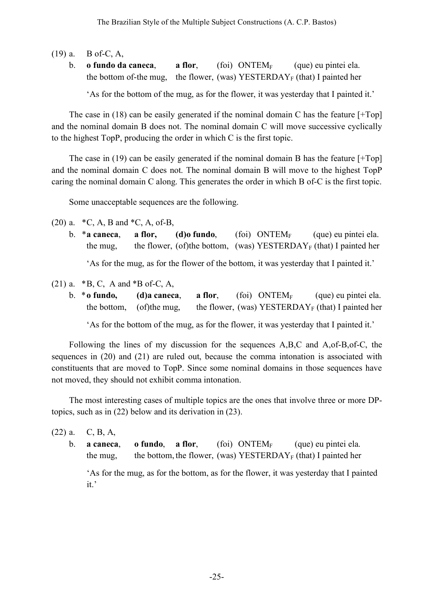- (19) a. B of-C, A,
	- b. **o fundo da caneca**, **a flor**, (foi) ONTEMF (que) eu pintei ela. the bottom of-the mug, the flower, (was) YESTERDAY<sub>F</sub> (that) I painted her

'As for the bottom of the mug, as for the flower, it was yesterday that I painted it.'

The case in  $(18)$  can be easily generated if the nominal domain C has the feature  $[+Top]$ and the nominal domain B does not. The nominal domain C will move successive cyclically to the highest TopP, producing the order in which C is the first topic.

The case in (19) can be easily generated if the nominal domain B has the feature [+Top] and the nominal domain C does not. The nominal domain B will move to the highest TopP caring the nominal domain C along. This generates the order in which B of-C is the first topic.

Some unacceptable sequences are the following.

(20) a.  $*C$ , A, B and  $*C$ , A, of-B,

b. \***a caneca**, **a flor, (d)o fundo**, **(foi) ONTEM<sub>F</sub>** (que) eu pintei ela. the mug, the flower, (of)the bottom, (was) YESTERDAY<sub>F</sub> (that) I painted her

'As for the mug, as for the flower of the bottom, it was yesterday that I painted it.'

- (21) a.  $*B$ , C, A and  $*B$  of-C, A,
	- b. \***o fundo, (d)a caneca**, **a flor**, (foi) ONTEMF (que) eu pintei ela. the bottom, (of)the mug, the flower, (was) YESTERDAY<sub>F</sub> (that) I painted her

'As for the bottom of the mug, as for the flower, it was yesterday that I painted it.'

Following the lines of my discussion for the sequences A,B,C and A,of-B,of-C, the sequences in (20) and (21) are ruled out, because the comma intonation is associated with constituents that are moved to TopP. Since some nominal domains in those sequences have not moved, they should not exhibit comma intonation.

The most interesting cases of multiple topics are the ones that involve three or more DPtopics, such as in (22) below and its derivation in (23).

(22) a. C, B, A,

b. **a caneca**, **o fundo**, **a flor**, (foi)  $\text{ONTEM}_{\text{F}}$  (que) eu pintei ela. the mug, the bottom, the flower, (was) YESTERDAY<sub>F</sub> (that) I painted her

'As for the mug, as for the bottom, as for the flower, it was yesterday that I painted it.'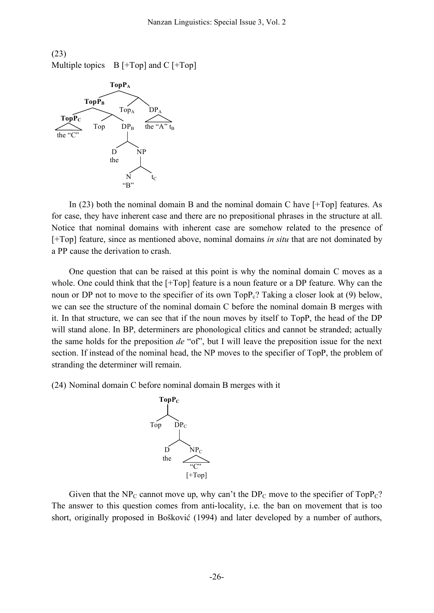(23) Multiple topics  $B$  [+Top] and C [+Top]



In (23) both the nominal domain B and the nominal domain C have [+Top] features. As for case, they have inherent case and there are no prepositional phrases in the structure at all. Notice that nominal domains with inherent case are somehow related to the presence of [+Top] feature, since as mentioned above, nominal domains *in situ* that are not dominated by a PP cause the derivation to crash.

One question that can be raised at this point is why the nominal domain C moves as a whole. One could think that the [+Top] feature is a noun feature or a DP feature. Why can the noun or DP not to move to the specifier of its own  $TopP<sub>c</sub>$ ? Taking a closer look at (9) below, we can see the structure of the nominal domain C before the nominal domain B merges with it. In that structure, we can see that if the noun moves by itself to TopP, the head of the DP will stand alone. In BP, determiners are phonological clitics and cannot be stranded; actually the same holds for the preposition *de* "of", but I will leave the preposition issue for the next section. If instead of the nominal head, the NP moves to the specifier of TopP, the problem of stranding the determiner will remain.

(24) Nominal domain C before nominal domain B merges with it



Given that the NP<sub>C</sub> cannot move up, why can't the DP<sub>C</sub> move to the specifier of TopP<sub>C</sub>? The answer to this question comes from anti-locality, i.e. the ban on movement that is too short, originally proposed in Bošković (1994) and later developed by a number of authors,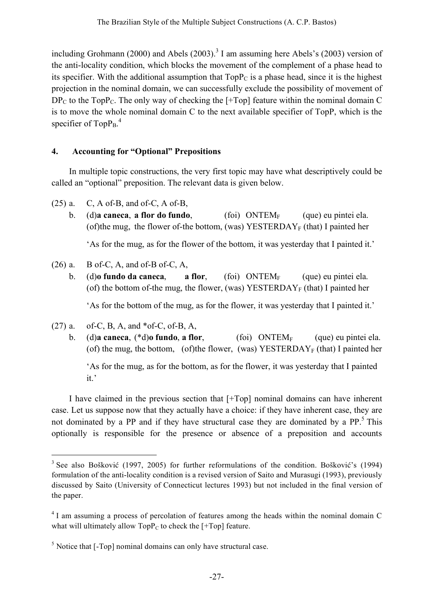including Grohmann (2000) and Abels (2003). <sup>3</sup> I am assuming here Abels's (2003) version of the anti-locality condition, which blocks the movement of the complement of a phase head to its specifier. With the additional assumption that  $TopP<sub>C</sub>$  is a phase head, since it is the highest projection in the nominal domain, we can successfully exclude the possibility of movement of  $DP_C$  to the TopP<sub>C</sub>. The only way of checking the [+Top] feature within the nominal domain C is to move the whole nominal domain C to the next available specifier of TopP, which is the specifier of  $\text{TopP}_{\text{B}}$ .<sup>4</sup>

# **4. Accounting for "Optional" Prepositions**

In multiple topic constructions, the very first topic may have what descriptively could be called an "optional" preposition. The relevant data is given below.

- $(25)$  a. C, A of-B, and of-C, A of-B,
	- b. (d)**a caneca, a flor do fundo**, (foi)  $\text{ONTEM}_{\text{F}}$  (que) eu pintei ela. (of)the mug, the flower of-the bottom, (was) YESTERDAY<sub>F</sub> (that) I painted her

'As for the mug, as for the flower of the bottom, it was yesterday that I painted it.'

- $(26)$  a. B of-C, A, and of-B of-C, A,
	- b. (d)**o fundo da caneca**, **a flor**, (foi)  $\text{ONTEM}_{\text{F}}$  (que) eu pintei ela. (of) the bottom of-the mug, the flower, (was) YESTERDAY<sub>F</sub> (that) I painted her

'As for the bottom of the mug, as for the flower, it was yesterday that I painted it.'

- (27) a. of-C, B, A, and  $*$  of-C, of-B, A,
	- b. (d)**a caneca**, (\*d)**o fundo**, **a flor**, (foi) ONTEM<sub>F</sub> (que) eu pintei ela. (of) the mug, the bottom, (of)the flower, (was) YESTERDAY<sub>F</sub> (that) I painted her

'As for the mug, as for the bottom, as for the flower, it was yesterday that I painted it.'

I have claimed in the previous section that [+Top] nominal domains can have inherent case. Let us suppose now that they actually have a choice: if they have inherent case, they are not dominated by a PP and if they have structural case they are dominated by a PP.<sup>5</sup> This optionally is responsible for the presence or absence of a preposition and accounts

<sup>&</sup>lt;sup>3</sup> See also Bošković (1997, 2005) for further reformulations of the condition. Bošković's (1994) formulation of the anti-locality condition is a revised version of Saito and Murasugi (1993), previously discussed by Saito (University of Connecticut lectures 1993) but not included in the final version of the paper.

<sup>&</sup>lt;sup>4</sup> I am assuming a process of percolation of features among the heads within the nominal domain C what will ultimately allow  $\text{TopP}_{\text{C}}$  to check the [+Top] feature.

 $<sup>5</sup>$  Notice that [-Top] nominal domains can only have structural case.</sup>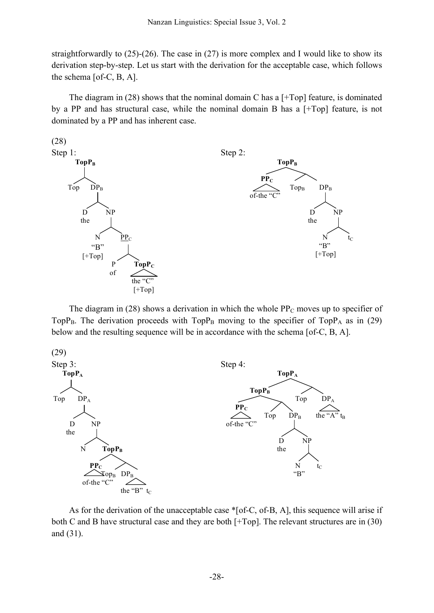straightforwardly to (25)-(26). The case in (27) is more complex and I would like to show its derivation step-by-step. Let us start with the derivation for the acceptable case, which follows the schema [of-C, B, A].

The diagram in  $(28)$  shows that the nominal domain C has a [+Top] feature, is dominated by a PP and has structural case, while the nominal domain B has a [+Top] feature, is not dominated by a PP and has inherent case.



The diagram in (28) shows a derivation in which the whole  $PP<sub>C</sub>$  moves up to specifier of TopP<sub>B</sub>. The derivation proceeds with TopP<sub>B</sub> moving to the specifier of TopP<sub>A</sub> as in (29) below and the resulting sequence will be in accordance with the schema [of-C, B, A].



As for the derivation of the unacceptable case \*[of-C, of-B, A], this sequence will arise if both C and B have structural case and they are both [+Top]. The relevant structures are in (30) and (31).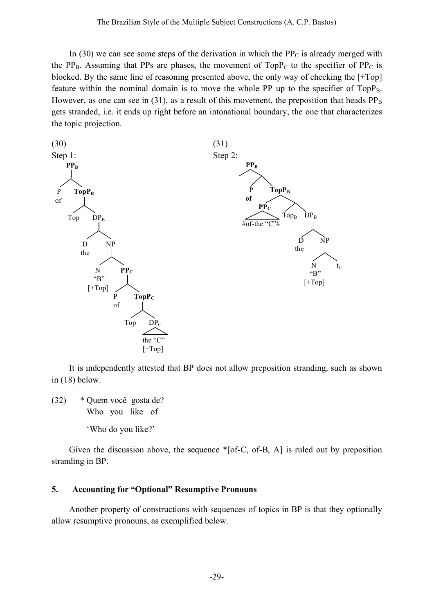In (30) we can see some steps of the derivation in which the  $PP<sub>C</sub>$  is already merged with the PP<sub>B</sub>. Assuming that PPs are phases, the movement of TopP<sub>C</sub> to the specifier of PP<sub>C</sub> is blocked. By the same line of reasoning presented above, the only way of checking the [+Top] feature within the nominal domain is to move the whole PP up to the specifier of  $TopP_B$ . However, as one can see in (31), as a result of this movement, the preposition that heads  $PP_B$ gets stranded, i.e. it ends up right before an intonational boundary, the one that characterizes the topic projection.



It is independently attested that BP does not allow preposition stranding, such as shown in (18) below.

(32) \* Quem você gosta de? Who you like of

'Who do you like?'

Given the discussion above, the sequence \*[of-C, of-B, A] is ruled out by preposition stranding in BP.

## **5. Accounting for "Optional" Resumptive Pronouns**

Another property of constructions with sequences of topics in BP is that they optionally allow resumptive pronouns, as exemplified below.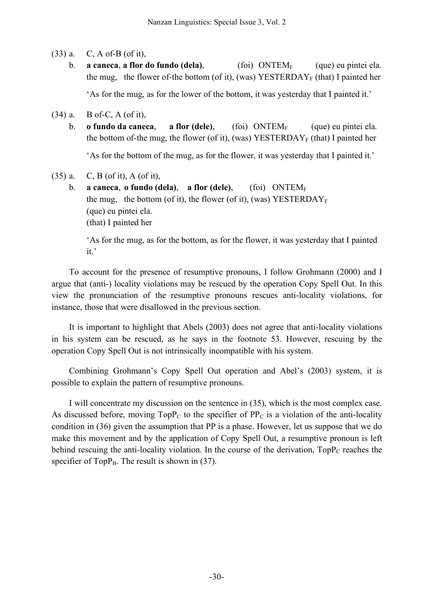- (33) a. C, A of-B (of it),
	- b. **a caneca, a flor do fundo (dela),** (foi) ONTEM<sub>F</sub> (que) eu pintei ela. the mug, the flower of-the bottom (of it), (was) YESTERDAY<sub>F</sub> (that) I painted her

'As for the mug, as for the lower of the bottom, it was yesterday that I painted it.'

- (34) a. B of-C, A (of it),
	- b. **o fundo da caneca**, **a flor (dele)**, (foi) ONTEMF (que) eu pintei ela. the bottom of-the mug, the flower (of it), (was) YESTERDAY<sub>F</sub> (that) I painted her

'As for the bottom of the mug, as for the flower, it was yesterday that I painted it.'

- (35) a. C, B (of it), A (of it),
	- b. **a caneca**, **o fundo (dela)**, **a flor (dele)**, (foi) ONTEMF the mug, the bottom (of it), the flower (of it), (was) YESTERDAY<sub>F</sub> (que) eu pintei ela. (that) I painted her

'As for the mug, as for the bottom, as for the flower, it was yesterday that I painted it.'

To account for the presence of resumptive pronouns, I follow Grohmann (2000) and I argue that (anti-) locality violations may be rescued by the operation Copy Spell Out. In this view the pronunciation of the resumptive pronouns rescues anti-locality violations, for instance, those that were disallowed in the previous section.

It is important to highlight that Abels (2003) does not agree that anti-locality violations in his system can be rescued, as he says in the footnote 53. However, rescuing by the operation Copy Spell Out is not intrinsically incompatible with his system.

Combining Grohmann's Copy Spell Out operation and Abel's (2003) system, it is possible to explain the pattern of resumptive pronouns.

I will concentrate my discussion on the sentence in (35), which is the most complex case. As discussed before, moving  $TopP<sub>C</sub>$  to the specifier of  $PP<sub>C</sub>$  is a violation of the anti-locality condition in (36) given the assumption that PP is a phase. However, let us suppose that we do make this movement and by the application of Copy Spell Out, a resumptive pronoun is left behind rescuing the anti-locality violation. In the course of the derivation,  $TopP<sub>C</sub>$  reaches the specifier of Top $P_B$ . The result is shown in (37).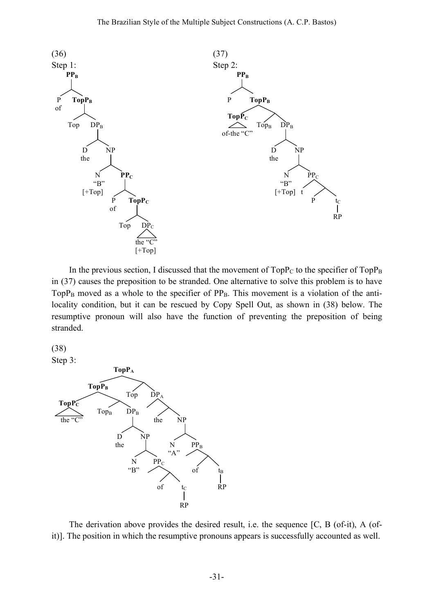

In the previous section, I discussed that the movement of  $TopP_C$  to the specifier of  $TopP_B$ in (37) causes the preposition to be stranded. One alternative to solve this problem is to have  $TopP<sub>B</sub>$  moved as a whole to the specifier of  $PP<sub>B</sub>$ . This movement is a violation of the antilocality condition, but it can be rescued by Copy Spell Out, as shown in (38) below. The resumptive pronoun will also have the function of preventing the preposition of being stranded.



Step 3:



The derivation above provides the desired result, i.e. the sequence [C, B (of-it), A (ofit)]. The position in which the resumptive pronouns appears is successfully accounted as well.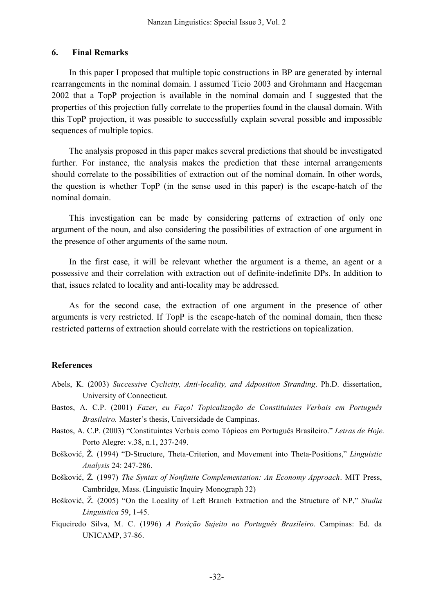### **6. Final Remarks**

In this paper I proposed that multiple topic constructions in BP are generated by internal rearrangements in the nominal domain. I assumed Ticio 2003 and Grohmann and Haegeman 2002 that a TopP projection is available in the nominal domain and I suggested that the properties of this projection fully correlate to the properties found in the clausal domain. With this TopP projection, it was possible to successfully explain several possible and impossible sequences of multiple topics.

The analysis proposed in this paper makes several predictions that should be investigated further. For instance, the analysis makes the prediction that these internal arrangements should correlate to the possibilities of extraction out of the nominal domain. In other words, the question is whether TopP (in the sense used in this paper) is the escape-hatch of the nominal domain.

This investigation can be made by considering patterns of extraction of only one argument of the noun, and also considering the possibilities of extraction of one argument in the presence of other arguments of the same noun.

In the first case, it will be relevant whether the argument is a theme, an agent or a possessive and their correlation with extraction out of definite-indefinite DPs. In addition to that, issues related to locality and anti-locality may be addressed.

As for the second case, the extraction of one argument in the presence of other arguments is very restricted. If TopP is the escape-hatch of the nominal domain, then these restricted patterns of extraction should correlate with the restrictions on topicalization.

## **References**

- Abels, K. (2003) *Successive Cyclicity, Anti-locality, and Adposition Stranding*. Ph.D. dissertation, University of Connecticut.
- Bastos, A. C.P. (2001) *Fazer, eu Faço! Topicalização de Constituintes Verbais em Português Brasileiro.* Master's thesis, Universidade de Campinas.
- Bastos, A. C.P. (2003) "Constituintes Verbais como Tópicos em Português Brasileiro." *Letras de Hoje*. Porto Alegre: v.38, n.1, 237-249.
- Bošković, Ž. (1994) "D-Structure, Theta-Criterion, and Movement into Theta-Positions," *Linguistic Analysis* 24: 247-286.
- Bošković, Ž. (1997) *The Syntax of Nonfinite Complementation: An Economy Approach*. MIT Press, Cambridge, Mass. (Linguistic Inquiry Monograph 32)
- Bošković, Ž. (2005) "On the Locality of Left Branch Extraction and the Structure of NP," *Studia Linguistica* 59, 1-45.
- Fiqueiredo Silva, M. C. (1996) *A Posição Sujeito no Português Brasileiro.* Campinas: Ed. da UNICAMP, 37-86.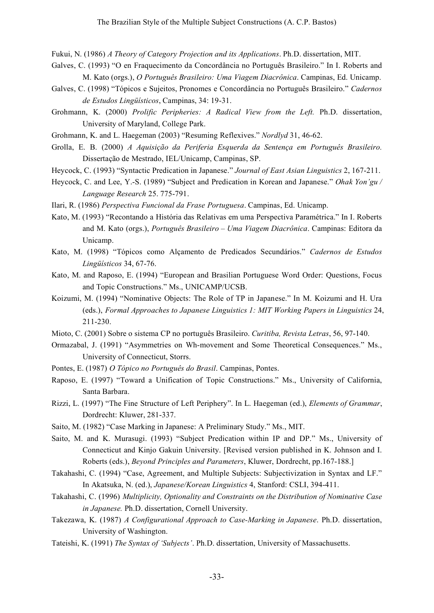Fukui, N. (1986) *A Theory of Category Projection and its Applications*. Ph.D. dissertation, MIT.

- Galves, C. (1993) "O en Fraquecimento da Concordância no Português Brasileiro." In I. Roberts and M. Kato (orgs.), *O Português Brasileiro: Uma Viagem Diacrônica*. Campinas, Ed. Unicamp.
- Galves, C. (1998) "Tópicos e Sujeitos, Pronomes e Concordância no Português Brasileiro." *Cadernos de Estudos Lingüísticos*, Campinas, 34: 19-31.
- Grohmann, K. (2000) *Prolific Peripheries: A Radical View from the Left.* Ph.D. dissertation, University of Maryland, College Park.
- Grohmann, K. and L. Haegeman (2003) "Resuming Reflexives." *Nordlyd* 31, 46-62.
- Grolla, E. B. (2000) *A Aquisição da Periferia Esquerda da Sentença em Português Brasileiro.* Dissertação de Mestrado, IEL/Unicamp, Campinas, SP.
- Heycock, C. (1993) "Syntactic Predication in Japanese." *Journal of East Asian Linguistics* 2, 167-211.
- Heycock, C. and Lee, Y.-S. (1989) "Subject and Predication in Korean and Japanese." *Ohak Yon'gu / Language Research* 25. 775-791.
- Ilari, R. (1986) *Perspectiva Funcional da Frase Portuguesa*. Campinas, Ed. Unicamp.
- Kato, M. (1993) "Recontando a História das Relativas em uma Perspectiva Paramétrica." In I. Roberts and M. Kato (orgs.), *Português Brasileiro – Uma Viagem Diacrônica*. Campinas: Editora da Unicamp.
- Kato, M. (1998) "Tópicos como Alçamento de Predicados Secundários." *Cadernos de Estudos Lingüísticos* 34, 67-76.
- Kato, M. and Raposo, E. (1994) "European and Brasilian Portuguese Word Order: Questions, Focus and Topic Constructions." Ms., UNICAMP/UCSB.
- Koizumi, M. (1994) "Nominative Objects: The Role of TP in Japanese." In M. Koizumi and H. Ura (eds.), *Formal Approaches to Japanese Linguistics 1: MIT Working Papers in Linguistics* 24, 211-230.
- Mioto, C. (2001) Sobre o sistema CP no português Brasileiro. *Curitiba, Revista Letras*, 56, 97-140.
- Ormazabal, J. (1991) "Asymmetries on Wh-movement and Some Theoretical Consequences." Ms., University of Connecticut, Storrs.
- Pontes, E. (1987) *O Tópico no Português do Brasil*. Campinas, Pontes.
- Raposo, E. (1997) "Toward a Unification of Topic Constructions." Ms., University of California, Santa Barbara.
- Rizzi, L. (1997) "The Fine Structure of Left Periphery". In L. Haegeman (ed.), *Elements of Grammar*, Dordrecht: Kluwer, 281-337.
- Saito, M. (1982) "Case Marking in Japanese: A Preliminary Study." Ms., MIT.
- Saito, M. and K. Murasugi. (1993) "Subject Predication within IP and DP." Ms., University of Connecticut and Kinjo Gakuin University. [Revised version published in K. Johnson and I. Roberts (eds.), *Beyond Principles and Parameters*, Kluwer, Dordrecht, pp.167-188.]
- Takahashi, C. (1994) "Case, Agreement, and Multiple Subjects: Subjectivization in Syntax and LF." In Akatsuka, N. (ed.), *Japanese/Korean Linguistics* 4, Stanford: CSLI, 394-411.
- Takahashi, C. (1996) *Multiplicity, Optionality and Constraints on the Distribution of Nominative Case in Japanese.* Ph.D. dissertation, Cornell University.
- Takezawa, K. (1987) *A Configurational Approach to Case-Marking in Japanese*. Ph.D. dissertation, University of Washington.
- Tateishi, K. (1991) *The Syntax of 'Subjects'*. Ph.D. dissertation, University of Massachusetts.